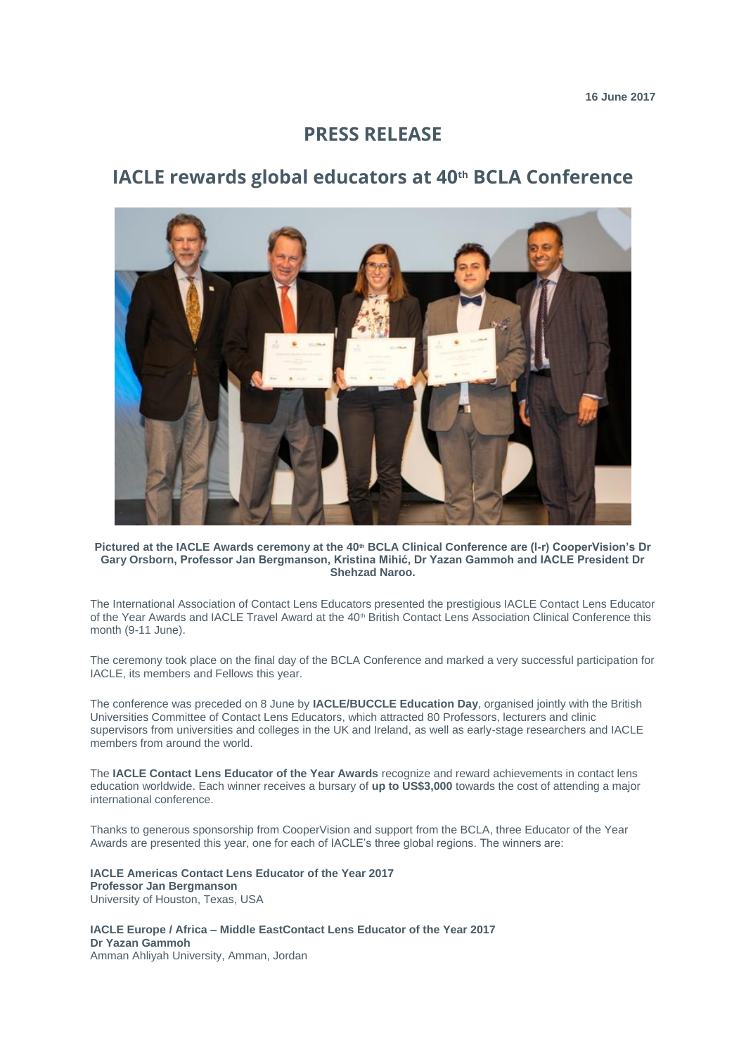## **PRESS RELEASE**

# **IACLE rewards global educators at 40th BCLA Conference**



**Pictured at the IACLE Awards ceremony at the 40th BCLA Clinical Conference are (l-r) CooperVision's Dr Gary Orsborn, Professor Jan Bergmanson, Kristina Mihić, Dr Yazan Gammoh and IACLE President Dr Shehzad Naroo.**

The International Association of Contact Lens Educators presented the prestigious IACLE Contact Lens Educator of the Year Awards and IACLE Travel Award at the 40<sup>th</sup> British Contact Lens Association Clinical Conference this month (9-11 June).

The ceremony took place on the final day of the BCLA Conference and marked a very successful participation for IACLE, its members and Fellows this year.

The conference was preceded on 8 June by **IACLE/BUCCLE Education Day**, organised jointly with the British Universities Committee of Contact Lens Educators, which attracted 80 Professors, lecturers and clinic supervisors from universities and colleges in the UK and Ireland, as well as early-stage researchers and IACLE members from around the world.

The **IACLE Contact Lens Educator of the Year Awards** recognize and reward achievements in contact lens education worldwide. Each winner receives a bursary of **up to US\$3,000** towards the cost of attending a major international conference.

Thanks to generous sponsorship from CooperVision and support from the BCLA, three Educator of the Year Awards are presented this year, one for each of IACLE's three global regions. The winners are:

**IACLE Americas Contact Lens Educator of the Year 2017 Professor Jan Bergmanson** University of Houston, Texas, USA

**IACLE Europe / Africa – Middle EastContact Lens Educator of the Year 2017 Dr Yazan Gammoh** Amman Ahliyah University, Amman, Jordan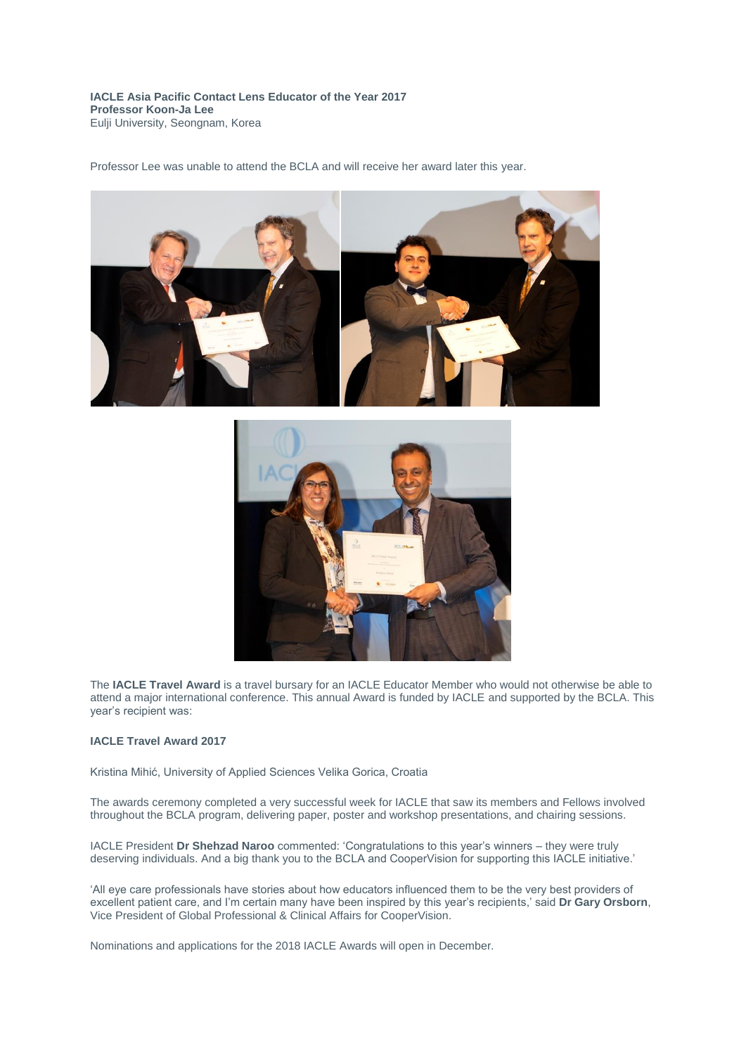**IACLE Asia Pacific Contact Lens Educator of the Year 2017 Professor Koon-Ja Lee** Eulji University, Seongnam, Korea

Professor Lee was unable to attend the BCLA and will receive her award later this year.





The **IACLE Travel Award** is a travel bursary for an IACLE Educator Member who would not otherwise be able to attend a major international conference. This annual Award is funded by IACLE and supported by the BCLA. This year's recipient was:

#### **IACLE Travel Award 2017**

Kristina Mihić, University of Applied Sciences Velika Gorica, Croatia

The awards ceremony completed a very successful week for IACLE that saw its members and Fellows involved throughout the BCLA program, delivering paper, poster and workshop presentations, and chairing sessions.

IACLE President **Dr Shehzad Naroo** commented: 'Congratulations to this year's winners – they were truly deserving individuals. And a big thank you to the BCLA and CooperVision for supporting this IACLE initiative.'

'All eye care professionals have stories about how educators influenced them to be the very best providers of excellent patient care, and I'm certain many have been inspired by this year's recipients,' said **Dr Gary Orsborn**, Vice President of Global Professional & Clinical Affairs for CooperVision.

Nominations and applications for the 2018 IACLE Awards will open in December.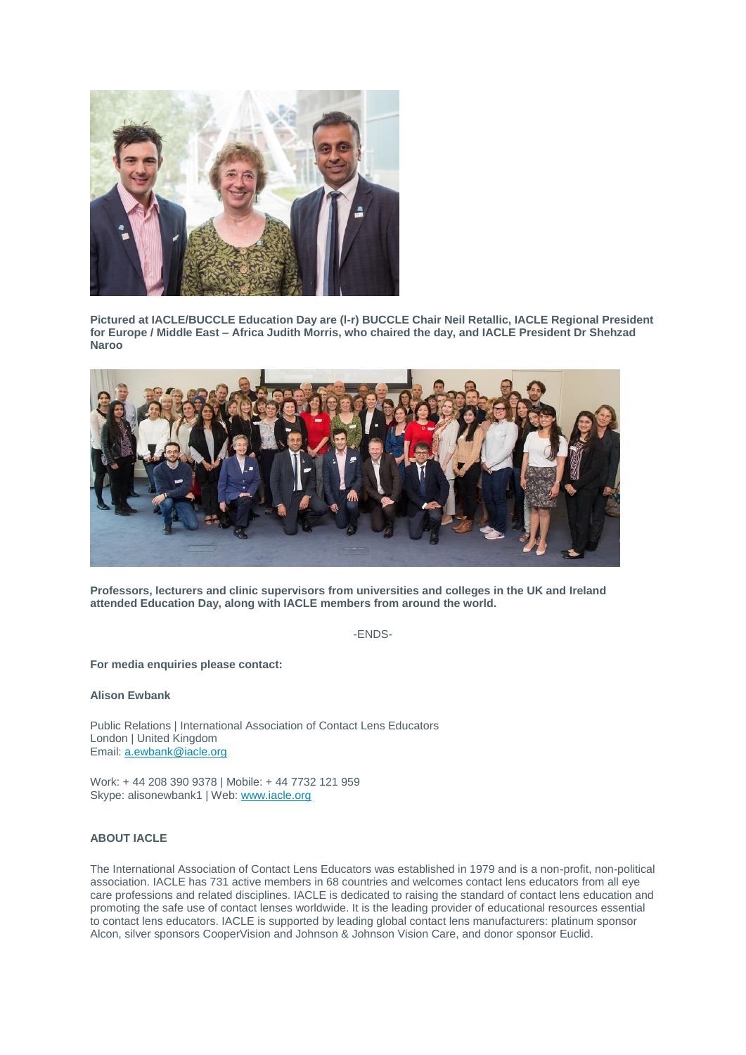

**Pictured at IACLE/BUCCLE Education Day are (l-r) BUCCLE Chair Neil Retallic, IACLE Regional President for Europe / Middle East – Africa Judith Morris, who chaired the day, and IACLE President Dr Shehzad Naroo**



**Professors, lecturers and clinic supervisors from universities and colleges in the UK and Ireland attended Education Day, along with IACLE members from around the world.** 

-ENDS-

**For media enquiries please contact:**

**Alison Ewbank**

Public Relations | International Association of Contact Lens Educators London | United Kingdom Email: [a.ewbank@iacle.org](mailto:a.ewbank@iacle.org)

Work: + 44 208 390 9378 | Mobile: + 44 7732 121 959 Skype: alisonewbank1 | Web: [www.iacle.org](http://www.iacle.org/)

### **ABOUT IACLE**

The International Association of Contact Lens Educators was established in 1979 and is a non-profit, non-political association. IACLE has 731 active members in 68 countries and welcomes contact lens educators from all eye care professions and related disciplines. IACLE is dedicated to raising the standard of contact lens education and promoting the safe use of contact lenses worldwide. It is the leading provider of educational resources essential to contact lens educators. IACLE is supported by leading global contact lens manufacturers: platinum sponsor Alcon, silver sponsors CooperVision and Johnson & Johnson Vision Care, and donor sponsor Euclid.